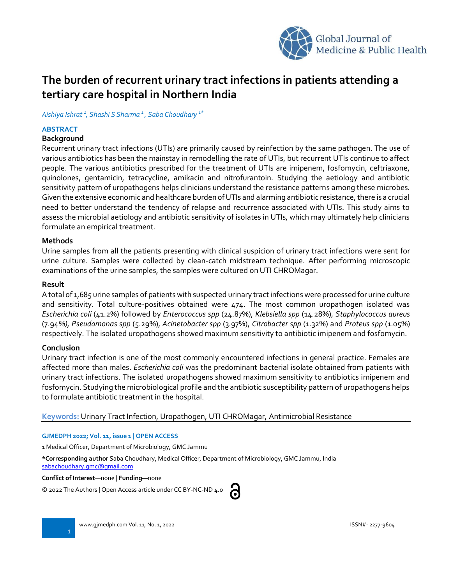

# **The burden of recurrent urinary tract infections in patients attending a tertiary care hospital in Northern India**

*Aishiya Ishrat <sup>1</sup> , Shashi S Sharma <sup>1</sup> , Saba Choudhary 1\**

# **ABSTRACT**

## **Background**

Recurrent urinary tract infections (UTIs) are primarily caused by reinfection by the same pathogen. The use of various antibiotics has been the mainstay in remodelling the rate of UTIs, but recurrent UTIs continue to affect people. The various antibiotics prescribed for the treatment of UTIs are imipenem, fosfomycin, ceftriaxone, quinolones, gentamicin, tetracycline, amikacin and nitrofurantoin. Studying the aetiology and antibiotic sensitivity pattern of uropathogens helps clinicians understand the resistance patterns among these microbes. Given the extensive economic and healthcare burden of UTIs and alarming antibiotic resistance, there is a crucial need to better understand the tendency of relapse and recurrence associated with UTIs. This study aims to assess the microbial aetiology and antibiotic sensitivity of isolates in UTIs, which may ultimately help clinicians formulate an empirical treatment.

## **Methods**

Urine samples from all the patients presenting with clinical suspicion of urinary tract infections were sent for urine culture. Samples were collected by clean-catch midstream technique. After performing microscopic examinations of the urine samples, the samples were cultured on UTI CHROMagar.

#### **Result**

A total of 1,685 urine samples of patients with suspected urinary tract infections were processed for urine culture and sensitivity. Total culture-positives obtained were 474. The most common uropathogen isolated was *Escherichia coli* (41.2%) followed by *Enterococcus spp* (24.87%), *Klebsiella spp* (14.28%), *Staphylococcus aureus* (7.94*%), Pseudomonas spp* (5.29%), *Acinetobacter spp* (3.97%), *Citrobacter spp* (1.32%) and *Proteus spp* (1.05%) respectively. The isolated uropathogens showed maximum sensitivity to antibiotic imipenem and fosfomycin.

# **Conclusion**

Urinary tract infection is one of the most commonly encountered infections in general practice. Females are affected more than males. *Escherichia coli* was the predominant bacterial isolate obtained from patients with urinary tract infections. The isolated uropathogens showed maximum sensitivity to antibiotics imipenem and fosfomycin. Studying the microbiological profile and the antibiotic susceptibility pattern of uropathogens helps to formulate antibiotic treatment in the hospital.

**Keywords:** Urinary Tract Infection, Uropathogen, UTI CHROMagar, Antimicrobial Resistance

#### **GJMEDPH 2022; Vol. 11, issue 1 | OPEN ACCESS**

1 Medical Officer, Department of Microbiology, GMC Jammu

**\*Corresponding author** Saba Choudhary, Medical Officer, Department of Microbiology, GMC Jammu, India

[sabachoudhary.gmc@gmail.com](mailto:sabachoudhary.gmc@gmail.com)

**Conflict of Interest**—none | **Funding—**none

© 2022 The Authors | Open Access article under CC BY-NC-ND 4.0

| w | ۰. |
|---|----|
|   |    |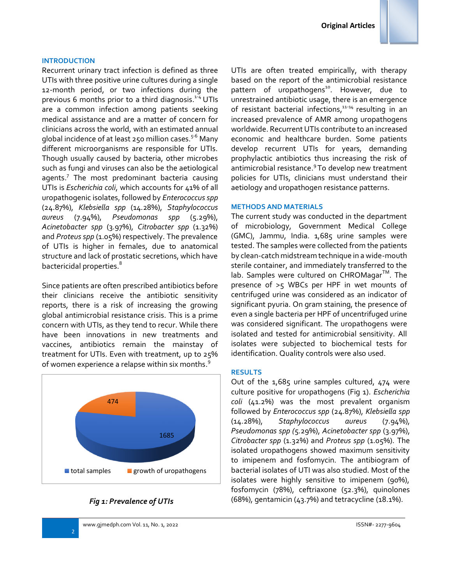#### **INTRODUCTION**

Recurrent urinary tract infection is defined as three UTIs with three positive urine cultures during a single 12-month period, or two infections during the previous 6 months prior to a third diagnosis. 1-4 UTIs are a common infection among patients seeking medical assistance and are a matter of concern for clinicians across the world, with an estimated annual global incidence of at least 250 million cases.<sup>5-6</sup> Many different microorganisms are responsible for UTIs. Though usually caused by bacteria, other microbes such as fungi and viruses can also be the aetiological agents.<sup>7</sup> The most predominant bacteria causing UTIs is *Escherichia coli*, which accounts for 41% of all uropathogenic isolates, followed by *Enterococcus spp* (24.87%), *Klebsiella spp* (14.28%), *Staphylococcus aureus* (7.94%), *Pseudomonas spp* (5.29%), *Acinetobacter spp* (3.97%), *Citrobacter spp* (1.32%) and *Proteus spp* (1.05%) respectively. The prevalence of UTIs is higher in females, due to anatomical structure and lack of prostatic secretions, which have bactericidal properties. 8

Since patients are often prescribed antibiotics before their clinicians receive the antibiotic sensitivity reports, there is a risk of increasing the growing global antimicrobial resistance crisis. This is a prime concern with UTIs, as they tend to recur. While there have been innovations in new treatments and vaccines, antibiotics remain the mainstay of treatment for UTIs. Even with treatment, up to 25% of women experience a relapse within six months.<sup>9</sup>



### *Fig 1: Prevalence of UTIs*

2

UTIs are often treated empirically, with therapy based on the report of the antimicrobial resistance pattern of uropathogens<sup>10</sup>. However, due to unrestrained antibiotic usage, there is an emergence of resistant bacterial infections,<sup>11-14</sup> resulting in an increased prevalence of AMR among uropathogens worldwide. Recurrent UTIs contribute to an increased economic and healthcare burden. Some patients develop recurrent UTIs for years, demanding prophylactic antibiotics thus increasing the risk of antimicrobial resistance. 9 To develop new treatment policies for UTIs, clinicians must understand their aetiology and uropathogen resistance patterns.

#### **METHODS AND MATERIALS**

The current study was conducted in the department of microbiology, Government Medical College (GMC), Jammu, India. 1,685 urine samples were tested. The samples were collected from the patients by clean-catch midstream technique in a wide-mouth sterile container, and immediately transferred to the lab. Samples were cultured on <code>CHROMagar $^{\text{\tiny{\textsf{TM}}}}$ . The</code> presence of >5 WBCs per HPF in wet mounts of centrifuged urine was considered as an indicator of significant pyuria. On gram staining, the presence of even a single bacteria per HPF of uncentrifuged urine was considered significant. The uropathogens were isolated and tested for antimicrobial sensitivity. All isolates were subjected to biochemical tests for identification. Quality controls were also used.

#### **RESULTS**

Out of the 1,685 urine samples cultured, 474 were culture positive for uropathogens (Fig 1). *Escherichia coli* (41.2%) was the most prevalent organism followed by *Enterococcus spp* (24.87%), *Klebsiella spp* (14.28%), *Staphylococcus aureus* (7.94%), *Pseudomonas spp (*5.29%), *Acinetobacter spp* (3.97%), *Citrobacter spp* (1.32%) and *Proteus spp* (1.05%). The isolated uropathogens showed maximum sensitivity to imipenem and fosfomycin. The antibiogram of bacterial isolates of UTI was also studied. Most of the isolates were highly sensitive to imipenem (90%), fosfomycin (78%), ceftriaxone (52.3%), quinolones (68%), gentamicin (43.7%) and tetracycline (18.1%).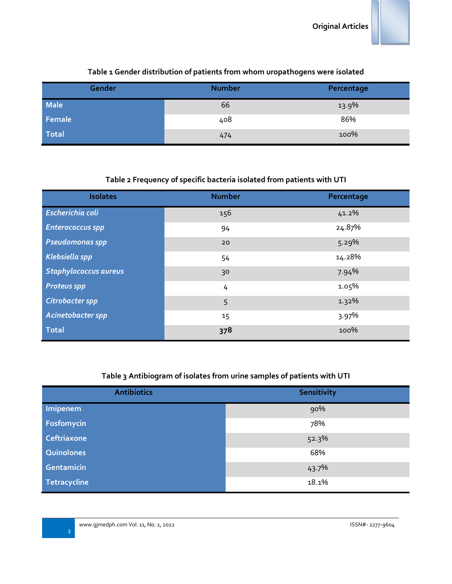

# **Table 1 Gender distribution of patients from whom uropathogens were isolated**

# **Table 2 Frequency of specific bacteria isolated from patients with UTI**

| <b>Isolates</b>              | <b>Number</b> | Percentage |
|------------------------------|---------------|------------|
| Escherichia coli             | 156           | 41.2%      |
| <b>Enterococcus spp</b>      | 94            | 24.87%     |
| <b>Pseudomonas spp</b>       | 20            | 5.29%      |
| Klebsiella spp               | 54            | 14.28%     |
| <b>Staphylococcus aureus</b> | 30            | 7.94%      |
| <b>Proteus spp</b>           | 4             | 1.05%      |
| Citrobacter spp              | 5             | 1.32%      |
| Acinetobacter spp            | 15            | 3.97%      |
| <b>Total</b>                 | 378           | 100%       |

# **Table 3 Antibiogram of isolates from urine samples of patients with UTI**

| <b>Antibiotics</b> | Sensitivity |
|--------------------|-------------|
| Imipenem           | 90%         |
| Fosfomycin         | 78%         |
| Ceftriaxone        | 52.3%       |
| Quinolones         | 68%         |
| Gentamicin         | 43.7%       |
| Tetracycline       | 18.1%       |

3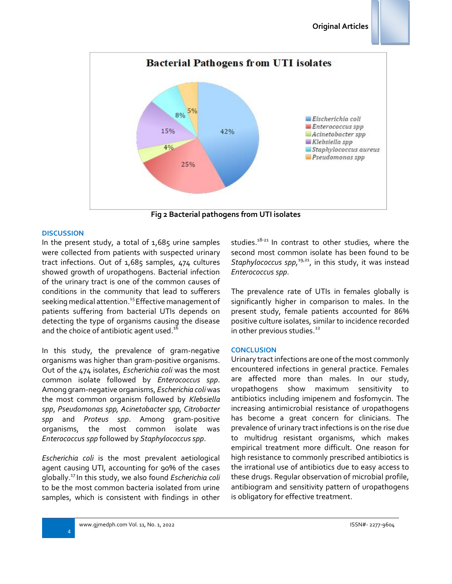

**Fig 2 Bacterial pathogens from UTI isolates**

#### **DISCUSSION**

In the present study, a total of  $1,685$  urine samples were collected from patients with suspected urinary tract infections. Out of 1,685 samples, 474 cultures showed growth of uropathogens. Bacterial infection of the urinary tract is one of the common causes of conditions in the community that lead to sufferers seeking medical attention.<sup>15</sup> Effective management of patients suffering from bacterial UTIs depends on detecting the type of organisms causing the disease and the choice of antibiotic agent used. $^{\rm 16}$ 

In this study, the prevalence of gram-negative organisms was higher than gram-positive organisms. Out of the 474 isolates, *Escherichia coli* was the most common isolate followed by *Enterococcus spp*. Among gram-negative organisms, *Escherichia coli* was the most common organism followed by *Klebsiella spp*, *Pseudomonas spp, Acinetobacter spp, Citrobacter spp* and *Proteus spp*. Among gram-positive organisms, the most common isolate was *Enterococcus spp* followed by *Staphylococcus spp*.

*Escherichia coli* is the most prevalent aetiological agent causing UTI, accounting for 90% of the cases globally. 17 In this study, we also found *Escherichia coli* to be the most common bacteria isolated from urine samples, which is consistent with findings in other

studies.<sup>18-21</sup> In contrast to other studies, where the second most common isolate has been found to be Staphylococcus spp,<sup>19,21</sup>, in this study, it was instead *Enterococcus spp*.

The prevalence rate of UTIs in females globally is significantly higher in comparison to males. In the present study, female patients accounted for 86% positive culture isolates, similar to incidence recorded in other previous studies.<sup>22</sup>

#### **CONCLUSION**

Urinary tract infections are one of the most commonly encountered infections in general practice. Females are affected more than males. In our study, uropathogens show maximum sensitivity to antibiotics including imipenem and fosfomycin. The increasing antimicrobial resistance of uropathogens has become a great concern for clinicians. The prevalence of urinary tract infections is on the rise due to multidrug resistant organisms, which makes empirical treatment more difficult. One reason for high resistance to commonly prescribed antibiotics is the irrational use of antibiotics due to easy access to these drugs. Regular observation of microbial profile, antibiogram and sensitivity pattern of uropathogens is obligatory for effective treatment.

4